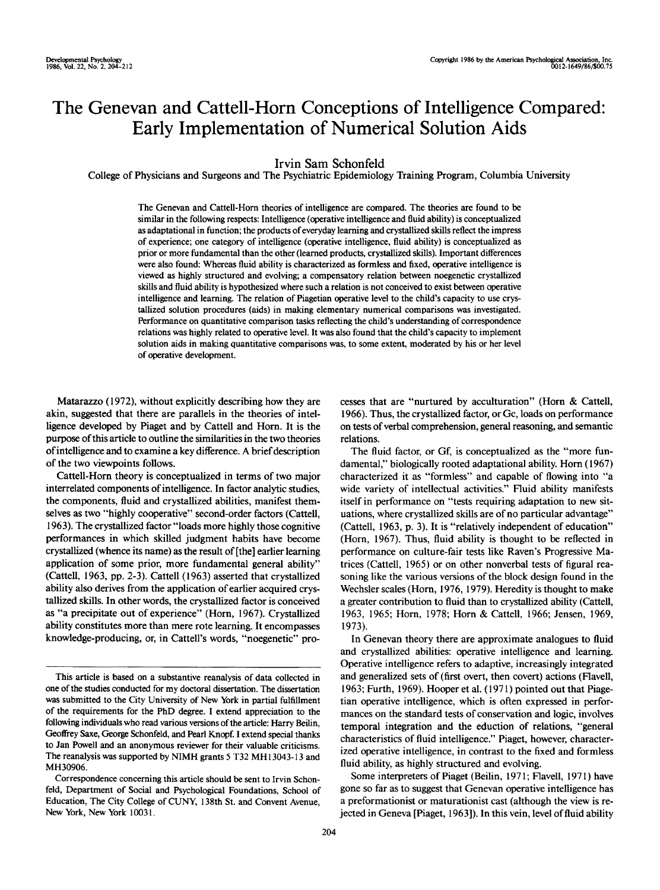# The Genevan and Cattell-Horn Conceptions of Intelligence Compared: Early Implementation of Numerical Solution Aids

Irvin Sam Schonfeld

College of Physicians and Surgeons and The Psychiatric Epidemiology Training Program, Columbia University

The Genevan and Cattell-Horn theories of intelligence are compared. The theories are found to be similar in the following respects: Intelligence (operative intelligence and fluid ability) is conceptualized as adaptational in function; the products of everyday learning and crystallized skills reflect the impress of experience; one category of intelligence (operative intelligence, fluid ability) is conceptualized as prior or more fundamental than the other (learned products, crystallized skills). Important differences were also found: Whereas fluid ability is characterized as formless and fixed, operative intelligence is viewed as highly structured and evolving; a compensatory relation between noegenetic crystallized skills and fluid ability is hypothesized where such a relation is not conceived to exist between operative intelligence and learning. The relation of Piagetian operative level to the child's capacity to use crystallized solution procedures (aids) in making elementary numerical comparisons was investigated. Performance on quantitative comparison tasks reflecting the child's understanding of correspondence relations was highly related to operative level. It was also found that the child's capacity to implement solution aids in making quantitative comparisons was, to some extent, moderated by his or her level of operative development.

Matarazzo (1972), without explicitly describing how they are akin, suggested that there are parallels in the theories of intelligence developed by Piaget and by Cattell and Horn. It is the purpose of this article to outline the similarities in the two theories of intelligence and to examine a key difference. A brief description of the two viewpoints follows.

Cattell-Horn theory is conceptualized in terms of two major interrelated components of intelligence. In factor analytic studies, the components, fluid and crystallized abilities, manifest themselves as two "highly cooperative" second-order factors (Cattell, 1963). The crystallized factor "loads more highly those cognitive performances in which skilled judgment habits have become crystallized (whence its name) as the result of [the] earlier learning application of some prior, more fundamental general ability" (Cattell, 1963, pp. 2-3). Cattell (1963) asserted that crystallized ability also derives from the application of earlier acquired crystallized skills. In other words, the crystallized factor is conceived as "a precipitate out of experience" (Horn, 1967). Crystallized ability constitutes more than mere rote learning. It encompasses knowledge-producing, or, in Cattell's words, "noegenetic" processes that are "nurtured by acculturation" (Horn & Cattell, 1966). Thus, the crystallized factor, or Gc, loads on performance on tests of verbal comprehension, general reasoning, and semantic relations.

The fluid factor, or Gf, is conceptualized as the "more fundamental," biologically rooted adaptational ability. Horn (1967) characterized it as "formless" and capable of flowing into "a wide variety of intellectual activities." Fluid ability manifests itself in performance on "tests requiring adaptation to new situations, where crystallized skills are of no particular advantage" (Cattell, 1963, p. 3). It is "relatively independent of education" (Horn, 1967). Thus, fluid ability is thought to be reflected in performance on culture-fair tests like Raven's Progressive Matrices (Cattell, 1965) or on other nonverbal tests of figural reasoning like the various versions of the block design found in the Wechsler scales (Horn, 1976, 1979). Heredity is thought to make a greater contribution to fluid than to crystallized ability (Cattell, 1963, 1965; Horn, 1978; Horn & Cattell, 1966; Jensen, 1969, 1973).

In Genevan theory there are approximate analogues to fluid and crystallized abilities: operative intelligence and learning. Operative intelligence refers to adaptive, increasingly integrated and generalized sets of (first overt, then covert) actions (Flavell, 1963; Furth, 1969). Hooper et al. (1971) pointed out that Piagetian operative intelligence, which is often expressed in performances on the standard tests of conservation and logic, involves temporal integration and the eduction of relations, "general characteristics of fluid intelligence." Piaget, however, characterized operative intelligence, in contrast to the fixed and formless fluid ability, as highly structured and evolving.

Some interpreters of Piaget (Beilin, 1971; Flavell, 1971) have gone so far as to suggest that Genevan operative intelligence has a preformationist or maturationist cast (although the view is rejected in Geneva [Piaget, 1963]). In this vein, level of fluid ability

This article is based on a substantive reanalysis of data collected in one of the studies conducted for my doctoral dissertation. The dissertation was submitted to the City University of New York in partial fulfillment of the requirements for the PhD degree. I extend appreciation to the following individuals who read various versions of the article: Harry Beilin, Geoffrey Saxe, George Schonfeld, and Pearl Knopf. I extend special thanks to Jan Powell and an anonymous reviewer for their valuable criticisms. The reanalysis was supported by NIMH grants 5 T32 MH13043-13 and MH30906.

Correspondence concerning this article should be sent to Irvin Schonfeld, Department of Social and Psychological Foundations, School of Education, The City College of CUNY, 138th St. and Convent Avenue, New York, New York 10031.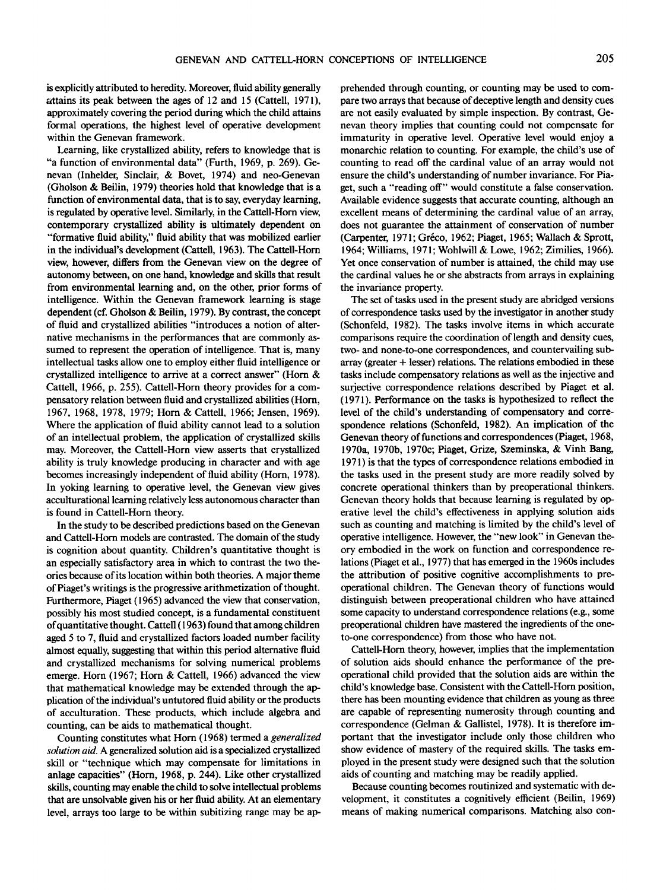is explicitly attributed to heredity. Moreover, fluid ability generally attains its peak between the ages of 12 and 15 (Cattell, 1971), approximately covering the period during which the child attains formal operations, the highest level of operative development within the Genevan framework.

Learning, like crystallized ability, refers to knowledge that is "a function of environmental data" (Furth, 1969, p. 269). Genevan (Inhelder, Sinclair, & Bovet, 1974) and neo-Genevan (Gholson & Beilin, 1979) theories hold that knowledge that is a function of environmental data, that is to say, everyday learning, is regulated by operative level. Similarly, in the Cattell-Horn view, contemporary crystallized ability is ultimately dependent on "formative fluid ability," fluid ability that was mobilized earlier in the individual's development (Cattell, 1963). The Cattell-Horn view, however, differs from the Genevan view on the degree of autonomy between, on one hand, knowledge and skills that result from environmental learning and, on the other, prior forms of intelligence. Within the Genevan framework learning is stage dependent (cf. Gholson & Beilin, 1979). By contrast, the concept of fluid and crystallized abilities "introduces a notion of alternative mechanisms in the performances that are commonly assumed to represent the operation of intelligence. That is, many intellectual tasks allow one to employ either fluid intelligence or crystallized intelligence to arrive at a correct answer" (Horn & Cattell, 1966, p. 255). Cattell-Horn theory provides for a compensatory relation between fluid and crystallized abilities (Horn, 1967, 1968, 1978, 1979; Horn & Cattell, 1966; Jensen, 1969). Where the application of fluid ability cannot lead to a solution of an intellectual problem, the application of crystallized skills may. Moreover, the Cattell-Horn view asserts that crystallized ability is truly knowledge producing in character and with age becomes increasingly independent of fluid ability (Horn, 1978). In yoking learning to operative level, the Genevan view gives acculturational learning relatively less autonomous character than is found in Cattell-Horn theory.

In the study to be described predictions based on the Genevan and Cattell-Horn models are contrasted. The domain of the study is cognition about quantity. Children's quantitative thought is an especially satisfactory area in which to contrast the two theories because of its location within both theories. A major theme of Piaget's writings is the progressive arithmetization of thought. Furthermore, Piaget (1965) advanced the view that conservation, possibly his most studied concept, is a fundamental constituent of quantitative thought. Cattell (1963) found that among children aged 5 to 7, fluid and crystallized factors loaded number facility almost equally, suggesting that within this period alternative fluid and crystallized mechanisms for solving numerical problems emerge. Horn (1967; Horn & Cattell, 1966) advanced the view that mathematical knowledge may be extended through the application of the individual's untutored fluid ability or the products of acculturation. These products, which include algebra and counting, can be aids to mathematical thought.

Counting constitutes what Horn (1968) termed a *generalized solution aid.* A generalized solution aid is a specialized crystallized skill or "technique which may compensate for limitations in anlage capacities" (Horn, 1968, p. 244). Like other crystallized skills, counting may enable the child to solve intellectual problems that are unsolvable given his or her fluid ability. At an elementary level, arrays too large to be within subitizing range may be apprehended through counting, or counting may be used to compare two arrays that because of deceptive length and density cues are not easily evaluated by simple inspection. By contrast, Genevan theory implies that counting could not compensate for immaturity in operative level. Operative level would enjoy a monarchic relation to counting. For example, the child's use of counting to read off the cardinal value of an array would not ensure the child's understanding of number invariance. For Piaget, such a "reading off" would constitute a false conservation. Available evidence suggests that accurate counting, although an excellent means of determining the cardinal value of an array, does not guarantee the attainment of conservation of number (Carpenter, 1971; Gréco, 1962; Piaget, 1965; Wallach & Sprott, 1964; Williams, 1971; Wohlwill & Lowe, 1962; Zimilies, 1966). Yet once conservation of number is attained, the child may use the cardinal values he or she abstracts from arrays in explaining the invariance property.

The set of tasks used in the present study are abridged versions of correspondence tasks used by the investigator in another study (Schonfeld, 1982). The tasks involve items in which accurate comparisons require the coordination of length and density cues, two- and none-to-one correspondences, and countervailing sub $array (greater + lesser)$  relations. The relations embodied in these tasks include compensatory relations as well as the injective and surjective correspondence relations described by Piaget et al. (1971). Performance on the tasks is hypothesized to reflect the level of the child's understanding of compensatory and correspondence relations (Schonfeld, 1982). An implication of the Genevan theory of functions and correspondences (Piaget, 1968, 1970a, 1970b, 1970c; Piaget, Grize, Szeminska, & Vinh Bang, 1971) is that the types of correspondence relations embodied in the tasks used in the present study are more readily solved by concrete operational thinkers than by preoperational thinkers. Genevan theory holds that because learning is regulated by operative level the child's effectiveness in applying solution aids such as counting and matching is limited by the child's level of operative intelligence. However, the "new look" in Genevan theory embodied in the work on function and correspondence relations (Piaget et al., 1977) that has emerged in the 1960s includes the attribution of positive cognitive accomplishments to preoperational children. The Genevan theory of functions would distinguish between preoperational children who have attained some capacity to understand correspondence relations (e.g., some preoperational children have mastered the ingredients of the oneto-one correspondence) from those who have not.

Cattell-Horn theory, however, implies that the implementation of solution aids should enhance the performance of the preoperational child provided that the solution aids are within the child's knowledge base. Consistent with the Cattell-Horn position, there has been mounting evidence that children as young as three are capable of representing numerosity through counting and correspondence (Gelman & Gallistel, 1978). It is therefore important that the investigator include only those children who show evidence of mastery of the required skills. The tasks employed in the present study were designed such that the solution aids of counting and matching may be readily applied.

Because counting becomes routinized and systematic with development, it constitutes a cognitively efficient (Beilin, 1969) means of making numerical comparisons. Matching also con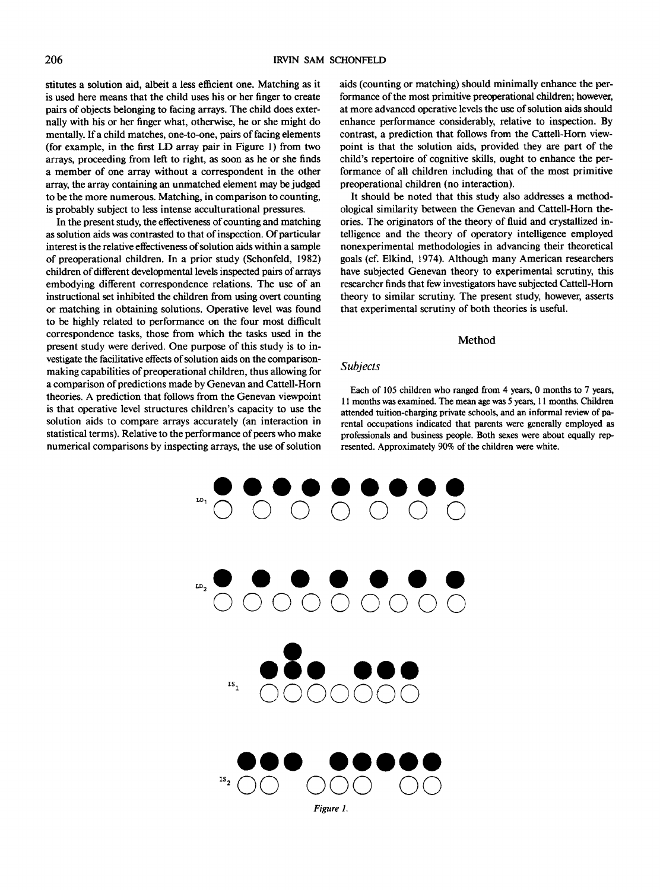stitutes a solution aid, albeit a less efficient one. Matching as it is used here means that the child uses his or her finger to create pairs of objects belonging to facing arrays. The child does externally with his or her finger what, otherwise, he or she might do mentally. If a child matches, one-to-one, pairs of facing elements (for example, in the first LD array pair in Figure 1) from two arrays, proceeding from left to right, as soon as he or she finds a member of one array without a correspondent in the other array, the array containing an unmatched element may be judged to be the more numerous. Matching, in comparison to counting, is probably subject to less intense acculturational pressures.

In the present study, the effectiveness of counting and matching as solution aids was contrasted to that of inspection. Of particular interest is the relative effectiveness of solution aids within a sample of preoperational children. In a prior study (Schonfeld, 1982) children of different developmental levels inspected pairs of arrays embodying different correspondence relations. The use of an instructional set inhibited the children from using overt counting or matching in obtaining solutions. Operative level was found to be highly related to performance on the four most difficult correspondence tasks, those from which the tasks used in the present study were derived. One purpose of this study is to investigate the facilitative effects of solution aids on the comparisonmaking capabilities of preoperational children, thus allowing for a comparison of predictions made by Genevan and Cattell-Horn theories. A prediction that follows from the Genevan viewpoint is that operative level structures children's capacity to use the solution aids to compare arrays accurately (an interaction in statistical terms). Relative to the performance of peers who make numerical comparisons by inspecting arrays, the use of solution

aids (counting or matching) should minimally enhance the performance of the most primitive preoperational children; however, at more advanced operative levels the use of solution aids should enhance performance considerably, relative to inspection. By contrast, a prediction that follows from the Cattell-Horn viewpoint is that the solution aids, provided they are part of the child's repertoire of cognitive skills, ought to enhance the performance of all children including that of the most primitive preoperational children (no interaction).

It should be noted that this study also addresses a methodological similarity between the Genevan and Cattell-Horn theories. The originators of the theory of fluid and crystallized intelligence and the theory of operatory intelligence employed nonexperimental methodologies in advancing their theoretical goals (cf. Elkind, 1974). Although many American researchers have subjected Genevan theory to experimental scrutiny, this researcher finds that few investigators have subjected Cattell-Horn theory to similar scrutiny. The present study, however, asserts that experimental scrutiny of both theories is useful.

### Method

## *Subjects*

Each of 105 children who ranged from 4 years, 0 months to 7 years, 11 months was examined. The mean age was 5 years, 11 months. Children attended tuition-charging private schools, and an informal review of parental occupations indicated that parents were generally employed as professionals and business people. Both sexes were about equally represented. Approximately 90% of the children were white.



*Figure 1.*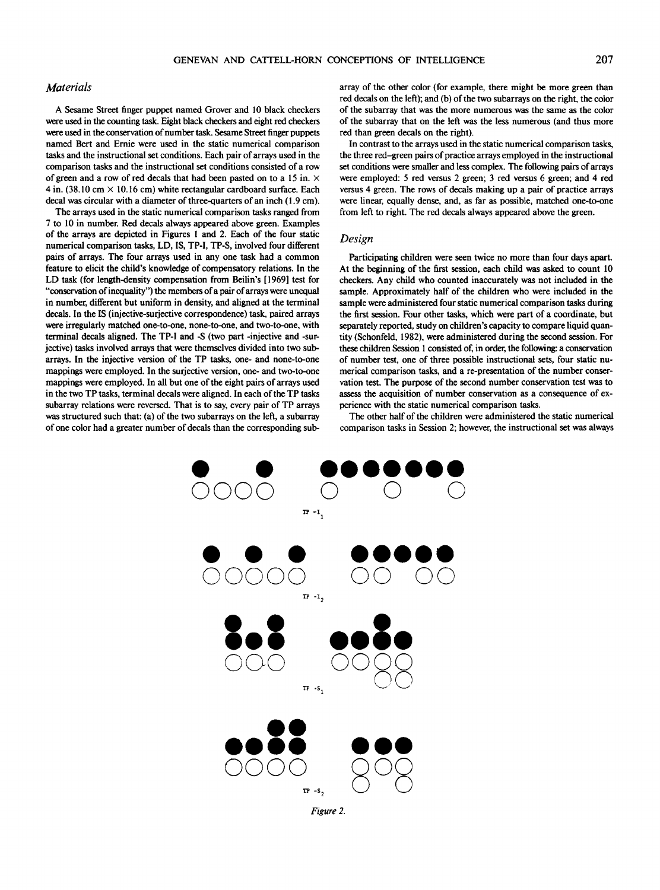## *Materials*

A Sesame Street finger puppet named Grover and 10 black checkers were used in the counting task. Eight black checkers and eight red checkers were used in the conservation of number task. Sesame Street finger puppets named Bert and Ernie were used in the static numerical comparison tasks and the instructional set conditions. Each pair of arrays used in the comparison tasks and the instructional set conditions consisted of a row of green and a row of red decals that had been pasted on to a 15 in.  $\times$ 4 in. (38.10 cm  $\times$  10.16 cm) white rectangular cardboard surface. Each decal was circular with a diameter of three-quarters of an inch (1.9 cm).

The arrays used in the static numerical comparison tasks ranged from 7 to 10 in number. Red decals always appeared above green. Examples of the arrays are depicted in Figures 1 and 2. Each of the four static numerical comparison tasks, LD, IS, TP-I, TP-S, involved four different pairs of arrays. The four arrays used in any one task had a common feature to elicit the child's knowledge of compensatory relations. In the LD task (for length-density compensation from Beilin's [1969] test for "conservation of inequality") the members of a pair of arrays were unequal in number, different but uniform in density, and aligned at the terminal decals. In the IS (injective-surjective correspondence) task, paired arrays were irregularly matched one-to-one, none-to-one, and two-to-one, with terminal decals aligned. The TP-I and -S (two part -injective and -surjective) tasks involved arrays that were themselves divided into two subarrays. In the injective version of the TP tasks, one- and none-to-one mappings were employed. In the surjective version, one- and two-to-one mappings were employed. In all but one of the eight pairs of arrays used in the two TP tasks, terminal decals were aligned. In each of the TP tasks subarray relations were reversed. That is to say, every pair of TP arrays was structured such that: (a) of the two subarrays on the left, a subarray of one color had a greater number of decals than the corresponding subarray of the other color (for example, there might be more green than red decals on the left); and (b) of the two subarrays on the right, the color of the subarray that was the more numerous was the same as the color of the subarray that on the left was the less numerous (and thus more red than green decals on the right).

In contrast to the arrays used in the static numerical comparison tasks, the three red-green pairs of practice arrays employed in the instructional set conditions were smaller and less complex. The following pairs of arrays were employed: 5 red versus 2 green; 3 red versus 6 green; and 4 red versus 4 green. The rows of decals making up a pair of practice arrays were linear, equally dense, and, as far as possible, matched one-to-one from left to right. The red decals always appeared above the green.

## *Design*

Participating children were seen twice no more than four days apart. At the beginning of the first session, each child was asked to count 10 checkers. Any child who counted inaccurately was not included in the sample. Approximately half of the children who were included in the sample were administered four static numerical comparison tasks during the first session. Four other tasks, which were part of a coordinate, but separately reported, study on children's capacity to compare liquid quantity (Schonfeld, 1982), were administered during the second session. For these children Session 1 consisted of, in order, the following: a conservation of number test, one of three possible instructional sets, four static numerical comparison tasks, and a re-presentation of the number conservation test. The purpose of the second number conservation test was to assess the acquisition of number conservation as a consequence of experience with the static numerical comparison tasks.

The other half of the children were administered the static numerical comparison tasks in Session 2; however, the instructional set was always



*Figure 2.*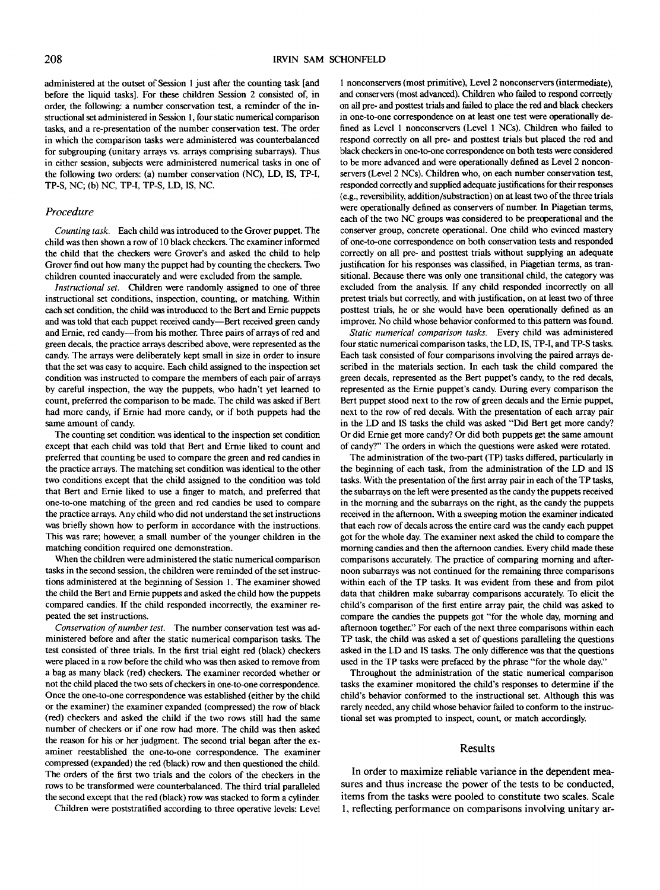administered at the outset of Session 1 just after the counting task [and before the liquid tasks]. For these children Session 2 consisted of, in order, the following: a number conservation test, a reminder of the instructional set administered in Session 1, four static numerical comparison tasks, and a re-presentation of the number conservation test. The order in which the comparison tasks were administered was counterbalanced for subgrouping (unitary arrays vs. arrays comprising subarrays). Thus in either session, subjects were administered numerical tasks in one of the following two orders: (a) number conservation (NC), LD, IS, TP-I, TP-S, NC; (b) NC, TP-I, TP-S, LD, IS, NC.

# *Procedure*

*Counting task.* Each child was introduced to the Grover puppet. The child was then shown a row of 10 black checkers. The examiner informed the child that the checkers were Grover's and asked the child to help Grover find out how many the puppet had by counting the checkers. Two children counted inaccurately and were excluded from the sample.

*Instructional set.* Children were randomly assigned to one of three instructional set conditions, inspection, counting, or matching. Within each set condition, the child was introduced to the Bert and Ernie puppets and was told that each puppet received candy—Bert received green candy and Ernie, red candy—from his mother. Three pairs of arrays of red and green decals, the practice arrays described above, were represented as the candy. The arrays were deliberately kept small in size in order to insure that the set was easy to acquire. Each child assigned to the inspection set condition was instructed to compare the members of each pair of arrays by careful inspection, the way the puppets, who hadn't yet learned to count, preferred the comparison to be made. The child was asked if Bert had more candy, if Ernie had more candy, or if both puppets had the same amount of candy.

The counting set condition was identical to the inspection set condition except that each child was told that Bert and Ernie liked to count and preferred that counting be used to compare the green and red candies in the practice arrays. The matching set condition was identical to the other two conditions except that the child assigned to the condition was told that Bert and Ernie liked to use a finger to match, and preferred that one-to-one matching of the green and red candies be used to compare the practice arrays. Any child who did not understand the set instructions was briefly shown how to perform in accordance with the instructions. This was rare; however, a small number of the younger children in the matching condition required one demonstration.

When the children were administered the static numerical comparison tasks in the second session, the children were reminded of the set instructions administered at the beginning of Session 1. The examiner showed the child the Bert and Ernie puppets and asked the child how the puppets compared candies. If the child responded incorrectly, the examiner repeated the set instructions.

*Conservation of number test.* The number conservation test was administered before and after the static numerical comparison tasks. The test consisted of three trials. In the first trial eight red (black) checkers were placed in a row before the child who was then asked to remove from a bag as many black (red) checkers. The examiner recorded whether or not the child placed the two sets of checkers in one-to-one correspondence. Once the one-to-one correspondence was established (either by the child or the examiner) the examiner expanded (compressed) the row of black (red) checkers and asked the child if the two rows still had the same number of checkers or if one row had more. The child was then asked the reason for his or her judgment. The second trial began after the examiner reestablished the one-to-one correspondence. The examiner compressed (expanded) the red (black) row and then questioned the child. The orders of the first two trials and the colors of the checkers in the rows to be transformed were counterbalanced. The third trial paralleled the second except that the red (black) row was stacked to form a cylinder.

Children were poststratified according to three operative levels: Level

1 nonconservers (most primitive), Level 2 nonconservers (intermediate), and conservers (most advanced). Children who failed to respond correctly on all pre- and posttest trials and failed to place the red and black checkers in one-to-one correspondence on at least one test were operationally defined as Level 1 nonconservers (Level 1 NCs). Children who failed to respond correctly on all pre- and posttest trials but placed the red and black checkers in one-to-one correspondence on both tests were considered to be more advanced and were operationally defined as Level 2 nonconservers (Level 2 NCs). Children who, on each number conservation test, responded correctly and supplied adequate justifications for their responses (e.g., reversibility, addition/substraction) on at least two of the three trials were operationally defined as conservers of number. In Piagetian terms, each of the two NC groups was considered to be preoperational and the conserver group, concrete operational. One child who evinced mastery of one-to-one correspondence on both conservation tests and responded correctly on all pre- and posttest trials without supplying an adequate justification for his responses was classified, in Piagetian terms, as transitional. Because there was only one transitional child, the category was excluded from the analysis. If any child responded incorrectly on all pretest trials but correctly, and with justification, on at least two of three posttest trials, he or she would have been operationally defined as an improver. No child whose behavior conformed to this pattern was found.

*Static numerical comparison tasks.* Every child was administered four static numerical comparison tasks, the LD, IS, TP-I, and TP-S tasks. Each task consisted of four comparisons involving the paired arrays described in the materials section. In each task the child compared the green decals, represented as the Bert puppet's candy, to the red decals, represented as the Ernie puppet's candy. During every comparison the Bert puppet stood next to the row of green decals and the Ernie puppet, next to the row of red decals. With the presentation of each array pair in the LD and IS tasks the child was asked "Did Bert get more candy? Or did Ernie get more candy? Or did both puppets get the same amount of candy?" The orders in which the questions were asked were rotated.

The administration of the two-part (TP) tasks differed, particularly in the beginning of each task, from the administration of the LD and IS tasks. With the presentation of the first array pair in each of the TP tasks, the subarrays on the left were presented as the candy the puppets received in the morning and the subarrays on the right, as the candy the puppets received in the afternoon. With a sweeping motion the examiner indicated that each row of decals across the entire card was the candy each puppet got for the whole day. The examiner next asked the child to compare the morning candies and then the afternoon candies. Every child made these comparisons accurately. The practice of comparing morning and afternoon subarrays was not continued for the remaining three comparisons within each of the TP tasks. It was evident from these and from pilot data that children make subarray comparisons accurately. To elicit the child's comparison of the first entire array pair, the child was asked to compare the candies the puppets got "for the whole day, morning and afternoon together." For each of the next three comparisons within each TP task, the child was asked a set of questions paralleling the questions asked in the LD and IS tasks. The only difference was that the questions used in the TP tasks were prefaced by the phrase "for the whole day."

Throughout the administration of the static numerical comparison tasks the examiner monitored the child's responses to determine if the child's behavior conformed to the instructional set. Although this was rarely needed, any child whose behavior failed to conform to the instructional set was prompted to inspect, count, or match accordingly.

#### Results

In order to maximize reliable variance in the dependent measures and thus increase the power of the tests to be conducted, items from the tasks were pooled to constitute two scales. Scale 1, reflecting performance on comparisons involving unitary ar-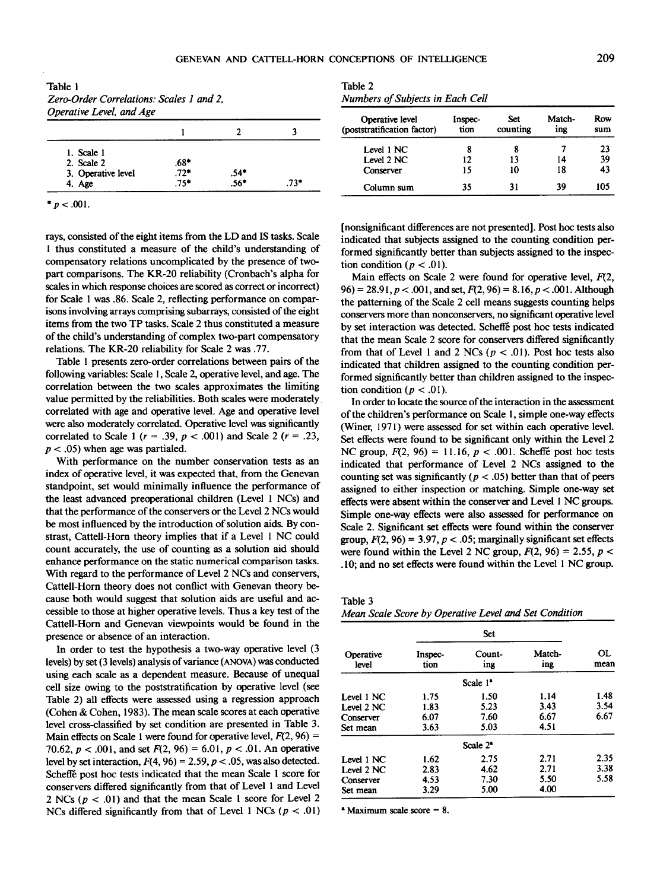| Table 1                                  |  |
|------------------------------------------|--|
| Zero-Order Correlations: Scales 1 and 2. |  |
| Operative Level, and Age                 |  |

| 1. Scale 1<br>2. Scale 2 | $.68*$ |        |     |
|--------------------------|--------|--------|-----|
| 3. Operative level       | .72*   | $.54*$ |     |
| 4. Age                   | $.75*$ | $.56*$ | 73* |

 $* p < .001$ .

rays, consisted of the eight items from the LD and IS tasks. Scale 1 thus constituted a measure of the child's understanding of compensatory relations uncomplicated by the presence of twopart comparisons. The KR-20 reliability (Cronbach's alpha for scales in which response choices are scored as correct or incorrect) for Scale 1 was .86. Scale 2, reflecting performance on comparisons involving arrays comprising subarrays, consisted of the eight items from the two TP tasks. Scale 2 thus constituted a measure of the child's understanding of complex two-part compensatory relations. The KR-20 reliability for Scale 2 was .77.

Table 1 presents zero-order correlations between pairs of the following variables: Scale 1, Scale 2, operative level, and age. The correlation between the two scales approximates the limiting value permitted by the reliabilities. Both scales were moderately correlated with age and operative level. Age and operative level were also moderately correlated. Operative level was significantly correlated to Scale 1 (r = .39, *p <* .001) and Scale 2 (r = .23, *p <* .05) when age was partialed.

With performance on the number conservation tests as an index of operative level, it was expected that, from the Genevan standpoint, set would minimally influence the performance of the least advanced preoperational children (Level 1 NCs) and that the performance of the conservers or the Level 2 NCs would be most influenced by the introduction of solution aids. By constrast, Cattell-Hora theory implies that if a Level 1 NC could count accurately, the use of counting as a solution aid should enhance performance on the static numerical comparison tasks. With regard to the performance of Level 2 NCs and conservers, Cattell-Horn theory does not conflict with Genevan theory because both would suggest that solution aids are useful and accessible to those at higher operative levels. Thus a key test of the Cattell-Horn and Genevan viewpoints would be found in the presence or absence of an interaction.

In order to test the hypothesis a two-way operative level (3 levels) by set (3 levels) analysis of variance (ANOVA) was conducted using each scale as a dependent measure. Because of unequal cell size owing to the poststratification by operative level (see Table 2) all effects were assessed using a regression approach (Cohen & Cohen, 1983). The mean scale scores at each operative level cross-classified by set condition are presented in Table 3. Main effects on Scale 1 were found for operative level,  $F(2,96) =$ 70.62, *p <* .001, and set *F(2,* 96) = 6.01, *p <* .01. An operative level by set interaction,  $F(4,96) = 2.59, p < .05$ , was also detected. Scheffe post hoc tests indicated that the mean Scale 1 score for conservers differed significantly from that of Level 1 and Level 2 NCs *(p <* .01) and that the mean Scale 1 score for Level 2 NCs differed significantly from that of Level 1 NCs *(p <* .01)

| Table 2                          |  |
|----------------------------------|--|
| Numbers of Subjects in Each Cell |  |

| Operative level<br>(poststratification factor) | Inspec-<br>tion | Set<br>counting | Match-<br>ing | Row<br>sum |
|------------------------------------------------|-----------------|-----------------|---------------|------------|
| Level 1 NC                                     | 8               |                 |               | 23         |
| Level 2 NC                                     | 12              | 13              | 14            | 39         |
| Conserver                                      | 15              | 10              | 18            | 43         |
| Column sum                                     | 35              | 31              | 39            | 105        |

[nonsignificant differences are not presented]. Post hoc tests also indicated that subjects assigned to the counting condition performed significantly better than subjects assigned to the inspection condition  $(p < .01)$ .

Main effects on Scale 2 were found for operative level, *F{2,*  $96$  = 28.91,  $p < .001$ , and set,  $F(2,96) = 8.16, p < .001$ . Although the patterning of the Scale 2 cell means suggests counting helps conservers more than nonconservers, no significant operative level by set interaction was detected. Scheffe post hoc tests indicated that the mean Scale 2 score for conservers differed significantly from that of Level 1 and 2 NCs ( $p < .01$ ). Post hoc tests also indicated that children assigned to the counting condition performed significantly better than children assigned to the inspection condition  $(p < .01)$ .

In order to locate the source of the interaction in the assessment of the children's performance on Scale 1, simple one-way effects (Winer, 1971) were assessed for set within each operative level. Set effects were found to be significant only within the Level 2 NC group,  $F(2, 96) = 11.16$ ,  $p < .001$ . Scheffe post hoc tests indicated that performance of Level 2 NCs assigned to the counting set was significantly *(p <* .05) better than that of peers assigned to either inspection or matching. Simple one-way set effects were absent within the conserver and Level 1 NC groups. Simple one-way effects were also assessed for performance on Scale 2. Significant set effects were found within the conserver group,  $F(2, 96) = 3.97$ ,  $p < .05$ ; marginally significant set effects were found within the Level 2 NC group, *F{2,* 96) = 2.55, *p <* .10; and no set effects were found within the Level 1 NC group.

Table 3

*Mean Scale Score by Operative Level and Set Condition*

|                    | <b>Set</b>      |                      |               |            |
|--------------------|-----------------|----------------------|---------------|------------|
| Operative<br>level | Inspec-<br>tion | Count-<br>ing        | Match-<br>ing | OL<br>mean |
|                    |                 | Scale 1 <sup>*</sup> |               |            |
| Level 1 NC         | 1.75            | 1.50                 | 1.14          | 1.48       |
| Level 2 NC         | 1.83            | 5.23                 | 3.43          | 3.54       |
| Conserver          | 6.07            | 7.60                 | 6.67          | 6.67       |
| Set mean           | 3.63            | 5.03                 | 4.51          |            |
|                    |                 | Scale 2 <sup>*</sup> |               |            |
| Level 1 NC         | 1.62            | 2.75                 | 2.71          | 2.35       |
| Level 2 NC         | 2.83            | 4.62                 | 2.71          | 3.38       |
| Conserver          | 4.53            | 7.30                 | 5.50          | 5.58       |
| Set mean           | 3.29            | 5.00                 | 4.00          |            |

 $*$  Maximum scale score = 8.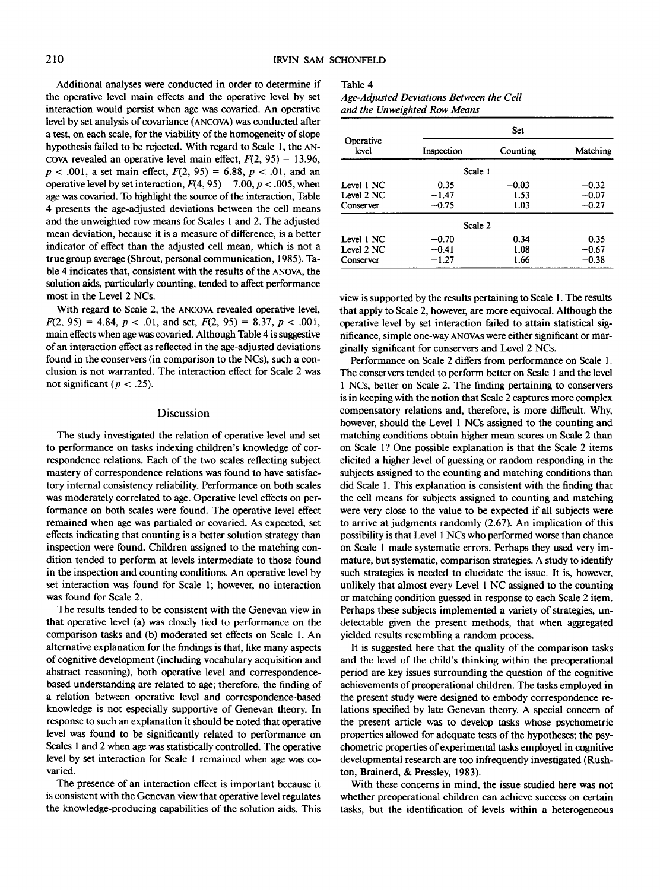Additional analyses were conducted in order to determine if the operative level main effects and the operative level by set interaction would persist when age was covaried. An operative level by set analysis of covariance (ANCOVA) was conducted after a test, on each scale, for the viability of the homogeneity of slope hypothesis failed to be rejected. With regard to Scale 1, the AN-COVA revealed an operative level main effect,  $F(2, 95) = 13.96$ , *p <* .001, a set main effect, *F(2,* 95) = 6.88, *p <* .01, and an operative level by set interaction,  $F(4, 95) = 7.00$ ,  $p < .005$ , when age was covaried. To highlight the source of the interaction, Table 4 presents the age-adjusted deviations between the cell means and the unweighted row means for Scales 1 and 2. The adjusted mean deviation, because it is a measure of difference, is a better indicator of effect than the adjusted cell mean, which is not a true group average (Shrout, personal communication, 1985). Table 4 indicates that, consistent with the results of the ANOVA, the solution aids, particularly counting, tended to affect performance most in the Level 2 NCs.

With regard to Scale 2, the ANCOVA revealed operative level, *F(2,* 95) = 4.84, *p <* .01, and set, *F(2,* 95) = 8.37, *p <* .001, main effects when age was covaried. Although Table 4 is suggestive of an interaction effect as reflected in the age-adjusted deviations found in the conservers (in comparison to the NCs), such a conclusion is not warranted. The interaction effect for Scale 2 was not significant *(p <* .25).

## Discussion

The study investigated the relation of operative level and set to performance on tasks indexing children's knowledge of correspondence relations. Each of the two scales reflecting subject mastery of correspondence relations was found to have satisfactory internal consistency reliability. Performance on both scales was moderately correlated to age. Operative level effects on performance on both scales were found. The operative level effect remained when age was partialed or covaried. As expected, set effects indicating that counting is a better solution strategy than inspection were found. Children assigned to the matching condition tended to perform at levels intermediate to those found in the inspection and counting conditions. An operative level by set interaction was found for Scale 1; however, no interaction was found for Scale 2.

The results tended to be consistent with the Genevan view in that operative level (a) was closely tied to performance on the comparison tasks and (b) moderated set effects on Scale 1. An alternative explanation for the findings is that, like many aspects of cognitive development (including vocabulary acquisition and abstract reasoning), both operative level and correspondencebased understanding are related to age; therefore, the finding of a relation between operative level and correspondence-based knowledge is not especially supportive of Genevan theory. In response to such an explanation it should be noted that operative level was found to be significantly related to performance on Scales 1 and 2 when age was statistically controlled. The operative level by set interaction for Scale 1 remained when age was covaried.

The presence of an interaction effect is important because it is consistent with the Genevan view that operative level regulates the knowledge-producing capabilities of the solution aids. This

#### Table 4

| Age-Adjusted Deviations Between the Cell |  |  |
|------------------------------------------|--|--|
| and the Unweighted Row Means             |  |  |

|                    | <b>Set</b> |          |          |  |
|--------------------|------------|----------|----------|--|
| Operative<br>level | Inspection | Counting | Matching |  |
|                    | Scale 1    |          |          |  |
| Level 1 NC         | 0.35       | $-0.03$  | $-0.32$  |  |
| Level 2 NC         | $-1.47$    | 1.53     | $-0.07$  |  |
| Conserver          | $-0.75$    | 1.03     | $-0.27$  |  |
|                    | Scale 2    |          |          |  |
| Level 1 NC         | $-0.70$    | 0.34     | 0.35     |  |
| Level 2 NC         | $-0.41$    | 1.08     | $-0.67$  |  |
| Conserver          | $-1.27$    | 1.66     | $-0.38$  |  |

view is supported by the results pertaining to Scale 1. The results that apply to Scale 2, however, are more equivocal. Although the operative level by set interaction failed to attain statistical significance, simple one-way ANOVAS were either significant or marginally significant for conservers and Level 2 NCs.

Performance on Scale 2 differs from performance on Scale 1. The conservers tended to perform better on Scale 1 and the level 1 NCs, better on Scale 2. The finding pertaining to conservers is in keeping with the notion that Scale 2 captures more complex compensatory relations and, therefore, is more difficult. Why, however, should the Level 1 NCs assigned to the counting and matching conditions obtain higher mean scores on Scale 2 than on Scale 1? One possible explanation is that the Scale 2 items elicited a higher level of guessing or random responding in the subjects assigned to the counting and matching conditions than did Scale 1. This explanation is consistent with the finding that the cell means for subjects assigned to counting and matching were very close to the value to be expected if all subjects were to arrive at judgments randomly (2.67). An implication of this possibility is that Level 1 NCs who performed worse than chance on Scale 1 made systematic errors. Perhaps they used very immature, but systematic, comparison strategies. A study to identify such strategies is needed to elucidate the issue. It is, however, unlikely that almost every Level 1 NC assigned to the counting or matching condition guessed in response to each Scale 2 item. Perhaps these subjects implemented a variety of strategies, undetectable given the present methods, that when aggregated yielded results resembling a random process.

It is suggested here that the quality of the comparison tasks and the level of the child's thinking within the preoperational period are key issues surrounding the question of the cognitive achievements of preoperational children. The tasks employed in the present study were designed to embody correspondence relations specified by late Genevan theory. A special concern of the present article was to develop tasks whose psychometric properties allowed for adequate tests of the hypotheses; the psychometric properties of experimental tasks employed in cognitive developmental research are too infrequently investigated (Rushton, Brainerd, & Pressley, 1983).

With these concerns in mind, the issue studied here was not whether preoperational children can achieve success on certain tasks, but the identification of levels within a heterogeneous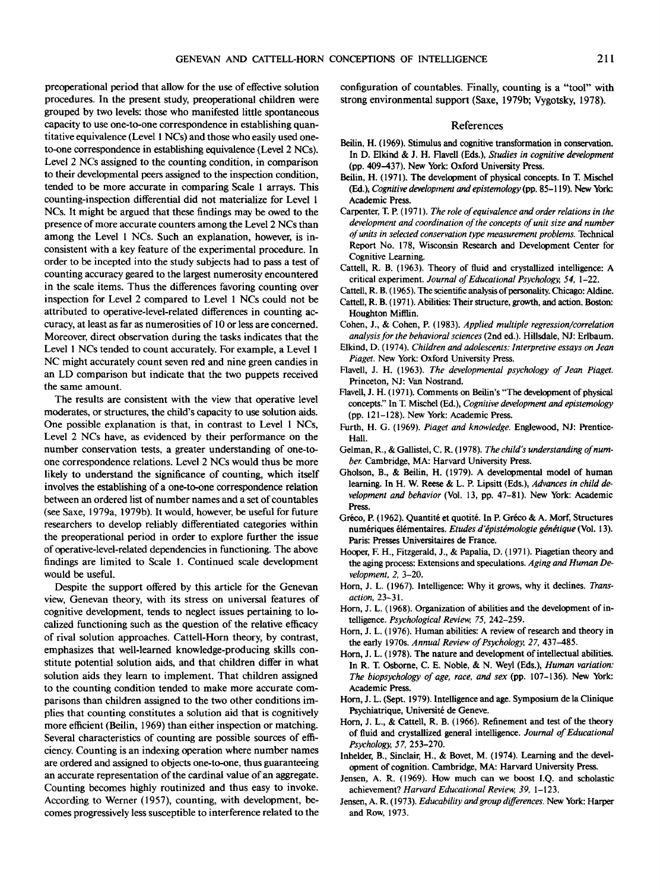preoperational period that allow for the use of effective solution procedures. In the present study, preoperational children were grouped by two levels: those who manifested little spontaneous capacity to use one-to-one correspondence in establishing quantitative equivalence (Level 1 NCs) and those who easily used oneto-one correspondence in establishing equivalence (Level 2 NCs). Level 2 NCs assigned to the counting condition, in comparison to their developmental peers assigned to the inspection condition, tended to be more accurate in comparing Scale 1 arrays. This counting-inspection differential did not materialize for Level 1 NCs. It might be argued that these findings may be owed to the presence of more accurate counters among the Level 2 NCs than among the Level 1 NCs. Such an explanation, however, is inconsistent with a key feature of the experimental procedure. In order to be incepted into the study subjects had to pass a test of counting accuracy geared to the largest numerosity encountered in the scale items. Thus the differences favoring counting over inspection for Level 2 compared to Level 1 NCs could not be attributed to operative-level-related differences in counting accuracy, at least as far as numerosities of 10 or less are concerned. Moreover, direct observation during the tasks indicates that the Level 1 NCs tended to count accurately. For example, a Level 1 NC might accurately count seven red and nine green candies in an LD comparison but indicate that the two puppets received the same amount.

The results are consistent with the view that operative level moderates, or structures, the child's capacity to use solution aids. One possible explanation is that, in contrast to Level 1 NCs, Level 2 NCs have, as evidenced by their performance on the number conservation tests, a greater understanding of one-toone correspondence relations. Level 2 NCs would thus be more likely to understand the significance of counting, which itself involves the establishing of a one-to-one correspondence relation between an ordered list of number names and a set of countables (see Saxe, 1979a, 1979b). It would, however, be useful for future researchers to develop reliably differentiated categories within the preoperational period in order to explore further the issue of operative-level-related dependencies in functioning. The above findings are limited to Scale 1. Continued scale development would be useful.

Despite the support offered by this article for the Genevan view, Genevan theory, with its stress on universal features of cognitive development, tends to neglect issues pertaining to localized functioning such as the question of the relative efficacy of rival solution approaches. Cattell-Horn theory, by contrast, emphasizes that well-learned knowledge-producing skills constitute potential solution aids, and that children differ in what solution aids they learn to implement. That children assigned to the counting condition tended to make more accurate comparisons than children assigned to the two other conditions implies that counting constitutes a solution aid that is cognitively more efficient (Beilin, 1969) than either inspection or matching. Several characteristics of counting are possible sources of efficiency. Counting is an indexing operation where number names are ordered and assigned to objects one-to-one, thus guaranteeing an accurate representation of the cardinal value of an aggregate. Counting becomes highly routinized and thus easy to invoke. According to Werner (1957), counting, with development, becomes progressively less susceptible to interference related to the configuration of countables. Finally, counting is a "tool" with strong environmental support (Saxe, 1979b; Vygotsky, 1978).

#### References

- Beilin, H. (1969). Stimulus and cognitive transformation in conservation. In D. Elkind & J. H. Flavell (Eds.), *Studies in cognitive development* (pp. 409-437). New York: Oxford University Press.
- Beilin, H. (1971). The development of physical concepts. In T. Mischel (Ed.), *Cognitive development and epistemology***(pp. 85-119). New York:** Academic Press.
- Carpenter, T. P. (1971). *The role of equivalence and order relations in the development and coordination of the concepts of unit size and number of units in selected conservation type measurement problems.* Technical Report No. 178, Wisconsin Research and Development Center for Cognitive Learning.
- Cattell, R. B. (1963). Theory of fluid and crystallized intelligence: A critical experiment. *Journal of Educational Psychology, 54,* 1-22.
- Cattell, R. B. (1965). The scientific analysis of personality. Chicago: Aldine. Cattell, R. B. (1971). Abilities: Their structure, growth, and action. Boston: Houghton Mifflin.
- Cohen, J., & Cohen, P. (1983). *Applied multiple regression/correlation analysis for the behavioral sciences* (2nd ed.). Hillsdale, NJ: Erlbaum.
- Elkind, D. (1974). *Children and adolescents: Interpretive essays on Jean Piaget.* New York: Oxford University Press.
- Flavell, J. H. (1963). *The developmental psychology of Jean Piaget.* Princeton, NJ: Van Nostrand.
- Flavell, J. H. (1971). Comments on Beilin's "The development of physical concepts." In T. Mischel (Ed.), *Cognitive development and epistemology* (pp. 121-128). New York: Academic Press.
- Furth, H. G. (1969). *Piaget and knowledge.* Englewood, NJ: Prentice-Hall.
- Gelman, R., & Gallistel, C. R. (1978). *The child's understanding of number.* Cambridge, MA: Harvard University Press.
- Gholson, B., & Beilin, H. (1979). A developmental model of human learning. In H. W. Reese & L. P. Lipsitt (Eds.), *Advances in child development and behavior* (Vol. 13, pp. 47-81). New York: Academic Press.
- Gréco, P. (1962). Quantité et quotité. In P. Gréco & A. Morf, Structures numériques élémentaires. Etudes d'épistémologie génétique (Vol. 13). Paris: Presses Universitaires de France.
- Hooper, F. H., Fitzgerald, J., & Papalia, D. (1971). Piagetian theory and the aging process: Extensions and speculations. *Aging and Human Development, 2,* 3-20.
- Horn, J. L. (1967). Intelligence: Why it grows, why it declines. *Transaction,* 23-31.
- Horn, J. L. (1968). Organization of abilities and the development of intelligence. *Psychological Review, 75,* 242-259.
- Horn, J. L. (1976). Human abilities: A review of research and theory in the early 1970s. *Annual Review of Psychology, 27,* 437-485.
- Horn, J. L. (1978). The nature and development of intellectual abilities. In R. T. Osborne, C. E. Noble, & N. Weyl (Eds.), *Human variation: The biopsychology of age, race, and sex* **(pp. 107-136). New York:** Academic Press.
- Horn, J. L. (Sept. 1979). Intelligence and age. Symposium de la Clinique Psychiatrique, Université de Geneve.
- Horn, J. L., & Cattell, R. B. (1966). Refinement and test of the theory of fluid and crystallized general intelligence. *Journal of Educational Psychology, 57,* 253-270.
- Inhelder, B., Sinclair, H., & Bovet, M. (1974). Learning and the development of cognition. Cambridge, MA: Harvard University Press.
- Jensen, A. R. (1969). How much can we boost I.Q. and scholastic achievement? *Harvard Educational Review, 39,* 1-123.
- Jensen, A. R. (1973). *Educability and group differences.* New York: Harper and Row, 1973.